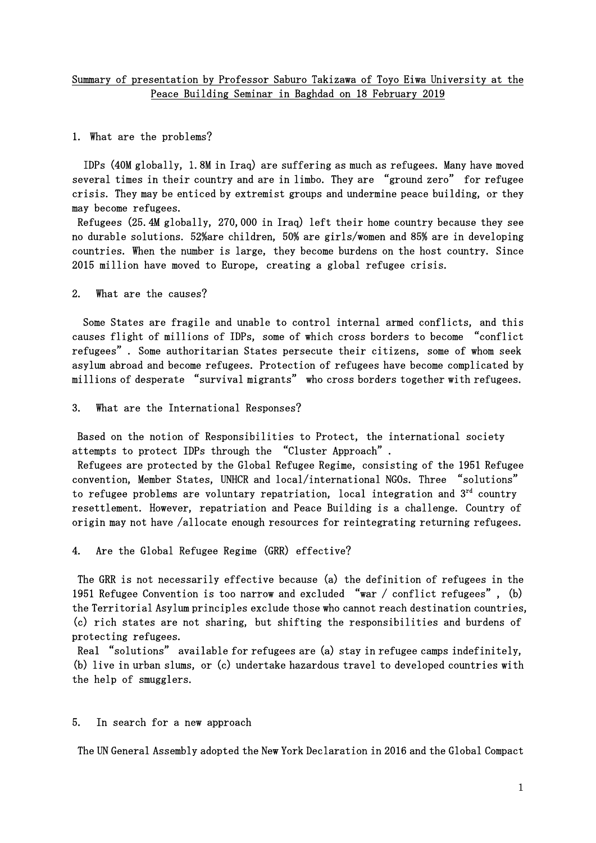## Summary of presentation by Professor Saburo Takizawa of Toyo Eiwa University at the Peace Building Seminar in Baghdad on 18 February 2019

1. What are the problems?

 IDPs (40M globally, 1.8M in Iraq) are suffering as much as refugees. Many have moved several times in their country and are in limbo. They are "ground zero" for refugee crisis. They may be enticed by extremist groups and undermine peace building, or they may become refugees.

 Refugees (25.4M globally, 270,000 in Iraq) left their home country because they see no durable solutions. 52%are children, 50% are girls/women and 85% are in developing countries. When the number is large, they become burdens on the host country. Since 2015 million have moved to Europe, creating a global refugee crisis.

2. What are the causes?

 Some States are fragile and unable to control internal armed conflicts, and this causes flight of millions of IDPs, some of which cross borders to become "conflict refugees". Some authoritarian States persecute their citizens, some of whom seek asylum abroad and become refugees. Protection of refugees have become complicated by millions of desperate "survival migrants" who cross borders together with refugees.

3. What are the International Responses?

 Based on the notion of Responsibilities to Protect, the international society attempts to protect IDPs through the "Cluster Approach".

 Refugees are protected by the Global Refugee Regime, consisting of the 1951 Refugee convention, Member States, UNHCR and local/international NGOs. Three "solutions" to refugee problems are voluntary repatriation, local integration and  $3<sup>rd</sup>$  country resettlement. However, repatriation and Peace Building is a challenge. Country of origin may not have /allocate enough resources for reintegrating returning refugees.

4. Are the Global Refugee Regime (GRR) effective?

 The GRR is not necessarily effective because (a) the definition of refugees in the 1951 Refugee Convention is too narrow and excluded "war / conflict refugees", (b) the Territorial Asylum principles exclude those who cannot reach destination countries, (c) rich states are not sharing, but shifting the responsibilities and burdens of protecting refugees.

 Real "solutions" available for refugees are (a) stay in refugee camps indefinitely, (b) live in urban slums, or (c) undertake hazardous travel to developed countries with the help of smugglers.

5. In search for a new approach

The UN General Assembly adopted the New York Declaration in 2016 and the Global Compact